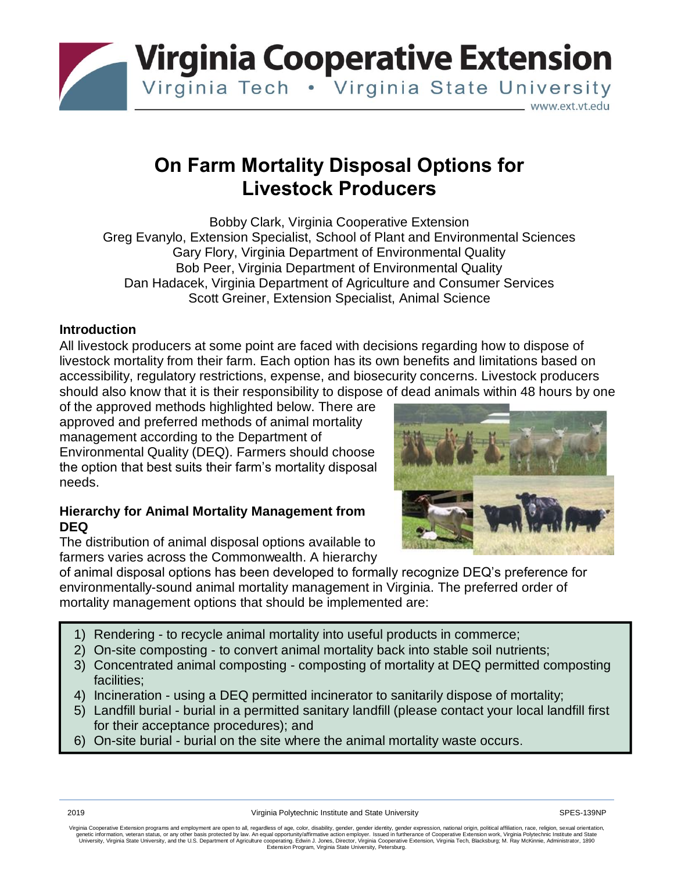

# **On Farm Mortality Disposal Options for Livestock Producers**

Bobby Clark, Virginia Cooperative Extension Greg Evanylo, Extension Specialist, School of Plant and Environmental Sciences Gary Flory, Virginia Department of Environmental Quality Bob Peer, Virginia Department of Environmental Quality Dan Hadacek, Virginia Department of Agriculture and Consumer Services Scott Greiner, Extension Specialist, Animal Science

### **Introduction**

All livestock producers at some point are faced with decisions regarding how to dispose of livestock mortality from their farm. Each option has its own benefits and limitations based on accessibility, regulatory restrictions, expense, and biosecurity concerns. Livestock producers should also know that it is their responsibility to dispose of dead animals within 48 hours by one

of the approved methods highlighted below. There are approved and preferred methods of animal mortality management according to the Department of Environmental Quality (DEQ). Farmers should choose the option that best suits their farm's mortality disposal needs.

### **Hierarchy for Animal Mortality Management from DEQ**

The distribution of animal disposal options available to farmers varies across the Commonwealth. A hierarchy



of animal disposal options has been developed to formally recognize DEQ's preference for environmentally-sound animal mortality management in Virginia. The preferred order of mortality management options that should be implemented are:

- 1) Rendering to recycle animal mortality into useful products in commerce;
- 2) On-site composting to convert animal mortality back into stable soil nutrients;
- 3) Concentrated animal composting composting of mortality at DEQ permitted composting facilities;
- 4) Incineration using a DEQ permitted incinerator to sanitarily dispose of mortality;
- 5) Landfill burial burial in a permitted sanitary landfill (please contact your local landfill first for their acceptance procedures); and
- $\vert$  6) On-site burial burial on the site where the animal mortality waste occurs.

Virginia Cooperative Extension programs and employment are open to all, regardless of age, color, disability, gender, gender identity, gender expression, national origin, political affiliation, race, religion, sexual orien genetic information, veteran status, or any other basis protected by law. An equal opportunity/affirmative action employer. Issued in furtherance of Cooperative Extension work, Virginia Polytechnic Institute and State<br>Univ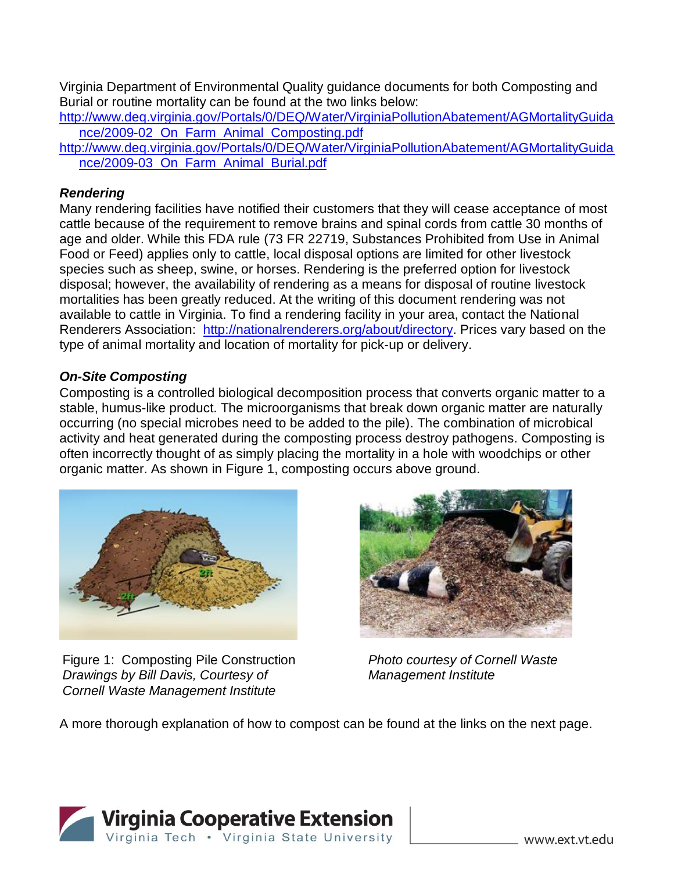Virginia Department of Environmental Quality guidance documents for both Composting and Burial or routine mortality can be found at the two links below:

[http://www.deq.virginia.gov/Portals/0/DEQ/Water/VirginiaPollutionAbatement/AGMortalityGuida](http://www.deq.virginia.gov/Portals/0/DEQ/Water/VirginiaPollutionAbatement/AGMortalityGuida%09nce/2009-02_On_Farm_Animal_Composting.pdf) [nce/2009-02\\_On\\_Farm\\_Animal\\_Composting.pdf](http://www.deq.virginia.gov/Portals/0/DEQ/Water/VirginiaPollutionAbatement/AGMortalityGuida%09nce/2009-02_On_Farm_Animal_Composting.pdf)

[http://www.deq.virginia.gov/Portals/0/DEQ/Water/VirginiaPollutionAbatement/AGMortalityGuida](http://www.deq.virginia.gov/Portals/0/DEQ/Water/VirginiaPollutionAbatement/AGMortalityGuida%09nce/2009-03_On_Farm_Animal_Burial.pdf) [nce/2009-03\\_On\\_Farm\\_Animal\\_Burial.pdf](http://www.deq.virginia.gov/Portals/0/DEQ/Water/VirginiaPollutionAbatement/AGMortalityGuida%09nce/2009-03_On_Farm_Animal_Burial.pdf)

# *Rendering*

Many rendering facilities have notified their customers that they will cease acceptance of most cattle because of the requirement to remove brains and spinal cords from cattle 30 months of age and older. While this FDA rule (73 FR 22719, Substances Prohibited from Use in Animal Food or Feed) applies only to cattle, local disposal options are limited for other livestock species such as sheep, swine, or horses. Rendering is the preferred option for livestock disposal; however, the availability of rendering as a means for disposal of routine livestock mortalities has been greatly reduced. At the writing of this document rendering was not available to cattle in Virginia. To find a rendering facility in your area, contact the National Renderers Association: [http://nationalrenderers.org/about/directory.](http://nationalrenderers.org/about/directory) Prices vary based on the type of animal mortality and location of mortality for pick-up or delivery.

# *On-Site Composting*

Composting is a controlled biological decomposition process that converts organic matter to a stable, humus-like product. The microorganisms that break down organic matter are naturally occurring (no special microbes need to be added to the pile). The combination of microbical activity and heat generated during the composting process destroy pathogens. Composting is often incorrectly thought of as simply placing the mortality in a hole with woodchips or other organic matter. As shown in Figure 1, composting occurs above ground.



Figure 1: Composting Pile Construction *Drawings by Bill Davis, Courtesy of Cornell Waste Management Institute*



*Photo courtesy of Cornell Waste Management Institute*

A more thorough explanation of how to compost can be found at the links on the next page.

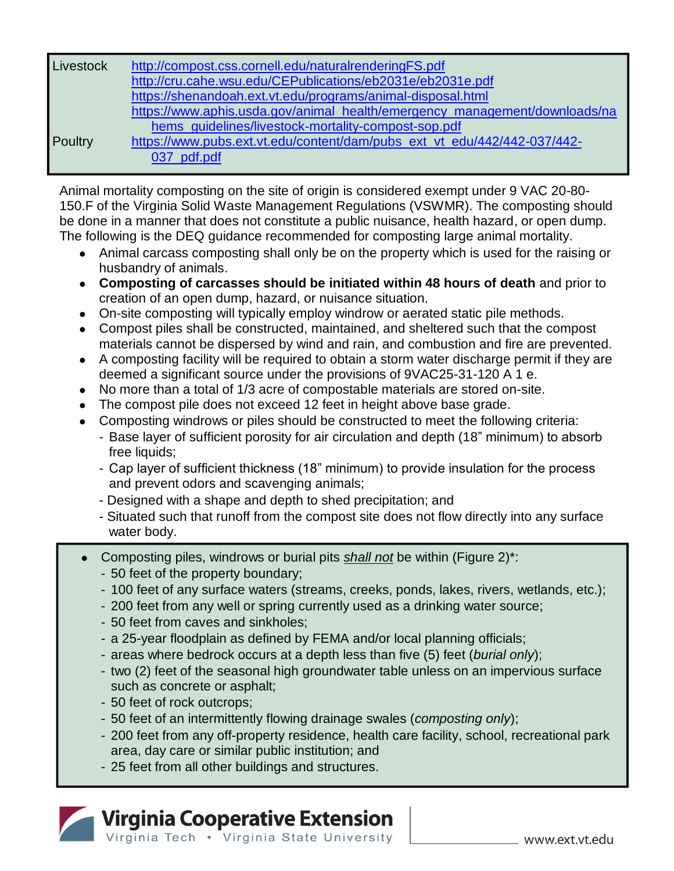| Livestock | http://compost.css.cornell.edu/naturalrenderingFS.pdf                      |
|-----------|----------------------------------------------------------------------------|
|           | http://cru.cahe.wsu.edu/CEPublications/eb2031e/eb2031e.pdf                 |
|           | https://shenandoah.ext.vt.edu/programs/animal-disposal.html                |
|           | https://www.aphis.usda.gov/animal_health/emergency_management/downloads/na |
|           | hems_quidelines/livestock-mortality-compost-sop.pdf                        |
| Poultry   | https://www.pubs.ext.vt.edu/content/dam/pubs_ext_vt_edu/442/442-037/442-   |
|           | 037 pdf.pdf                                                                |

Animal mortality composting on the site of origin is considered exempt under 9 VAC 20-80- 150.F of the Virginia Solid Waste Management Regulations (VSWMR). The composting should be done in a manner that does not constitute a public nuisance, health hazard, or open dump. The following is the DEQ guidance recommended for composting large animal mortality.

- ⚫ Animal carcass composting shall only be on the property which is used for the raising or husbandry of animals.
- ⚫ **Composting of carcasses should be initiated within 48 hours of death** and prior to creation of an open dump, hazard, or nuisance situation.
- ⚫ On-site composting will typically employ windrow or aerated static pile methods.
- Compost piles shall be constructed, maintained, and sheltered such that the compost materials cannot be dispersed by wind and rain, and combustion and fire are prevented.
- ⚫ A composting facility will be required to obtain a storm water discharge permit if they are deemed a significant source under the provisions of 9VAC25-31-120 A 1 e.
- ⚫ No more than a total of 1/3 acre of compostable materials are stored on-site.
- ⚫ The compost pile does not exceed 12 feet in height above base grade.
- Composting windrows or piles should be constructed to meet the following criteria:
	- Base layer of sufficient porosity for air circulation and depth (18" minimum) to absorb free liquids;
	- Cap layer of sufficient thickness (18" minimum) to provide insulation for the process and prevent odors and scavenging animals;
	- Designed with a shape and depth to shed precipitation; and
	- Situated such that runoff from the compost site does not flow directly into any surface water body.
- ⚫ Composting piles, windrows or burial pits *shall not* be within (Figure 2)\*:
	- 50 feet of the property boundary;
	- 100 feet of any surface waters (streams, creeks, ponds, lakes, rivers, wetlands, etc.);
	- 200 feet from any well or spring currently used as a drinking water source;
	- 50 feet from caves and sinkholes;
	- a 25-year floodplain as defined by FEMA and/or local planning officials;
	- areas where bedrock occurs at a depth less than five (5) feet (*burial only*);
	- two (2) feet of the seasonal high groundwater table unless on an impervious surface such as concrete or asphalt;
	- 50 feet of rock outcrops;
	- 50 feet of an intermittently flowing drainage swales (*composting only*);
	- 200 feet from any off-property residence, health care facility, school, recreational park area, day care or similar public institution; and
	- 25 feet from all other buildings and structures.

# Virginia Cooperative Extension Virginia Tech . Virginia State University

www.ext.vt.edu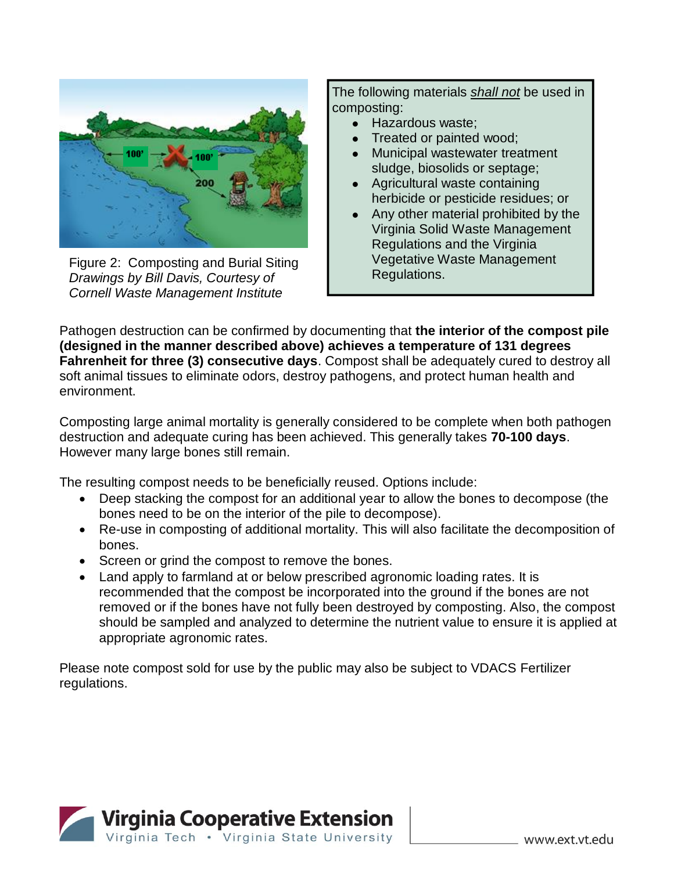

Figure 2: Composting and Burial Siting *Drawings by Bill Davis, Courtesy of Cornell Waste Management Institute*

The following materials *shall not* be used in composting:

- ⚫ Hazardous waste;
- ⚫ Treated or painted wood;
- ⚫ Municipal wastewater treatment sludge, biosolids or septage;
- ⚫ Agricultural waste containing herbicide or pesticide residues; or
- ⚫ Any other material prohibited by the Virginia Solid Waste Management Regulations and the Virginia Vegetative Waste Management Regulations.

Pathogen destruction can be confirmed by documenting that **the interior of the compost pile (designed in the manner described above) achieves a temperature of 131 degrees Fahrenheit for three (3) consecutive days**. Compost shall be adequately cured to destroy all soft animal tissues to eliminate odors, destroy pathogens, and protect human health and environment.

Composting large animal mortality is generally considered to be complete when both pathogen destruction and adequate curing has been achieved. This generally takes **70-100 days**. However many large bones still remain.

The resulting compost needs to be beneficially reused. Options include:

- Deep stacking the compost for an additional year to allow the bones to decompose (the bones need to be on the interior of the pile to decompose).
- Re-use in composting of additional mortality. This will also facilitate the decomposition of bones.
- Screen or grind the compost to remove the bones.
- Land apply to farmland at or below prescribed agronomic loading rates. It is recommended that the compost be incorporated into the ground if the bones are not removed or if the bones have not fully been destroyed by composting. Also, the compost should be sampled and analyzed to determine the nutrient value to ensure it is applied at appropriate agronomic rates.

Please note compost sold for use by the public may also be subject to VDACS Fertilizer regulations.